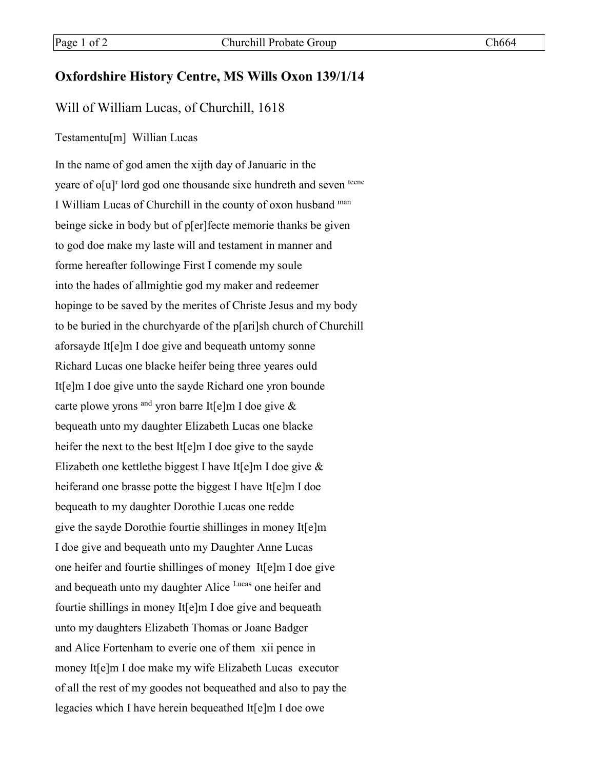## **Oxfordshire History Centre, MS Wills Oxon 139/1/14**

## Will of William Lucas, of Churchill, 1618

## Testamentu[m] Willian Lucas

In the name of god amen the xijth day of Januarie in the yeare of o[u]<sup>r</sup> lord god one thousande sixe hundreth and seven teene I William Lucas of Churchill in the county of oxon husband man beinge sicke in body but of p[er]fecte memorie thanks be given to god doe make my laste will and testament in manner and forme hereafter followinge First I comende my soule into the hades of allmightie god my maker and redeemer hopinge to be saved by the merites of Christe Jesus and my body to be buried in the churchyarde of the p[ari]sh church of Churchill aforsayde It[e]m I doe give and bequeath untomy sonne Richard Lucas one blacke heifer being three yeares ould It[e]m I doe give unto the sayde Richard one yron bounde carte plowe yrons <sup>and</sup> yron barre It[e]m I doe give  $\&$ bequeath unto my daughter Elizabeth Lucas one blacke heifer the next to the best It[e]m I doe give to the sayde Elizabeth one kettlethe biggest I have It[e]m I doe give & heiferand one brasse potte the biggest I have It[e]m I doe bequeath to my daughter Dorothie Lucas one redde give the sayde Dorothie fourtie shillinges in money It[e]m I doe give and bequeath unto my Daughter Anne Lucas one heifer and fourtie shillinges of money It[e]m I doe give and bequeath unto my daughter Alice Lucas one heifer and fourtie shillings in money It[e]m I doe give and bequeath unto my daughters Elizabeth Thomas or Joane Badger and Alice Fortenham to everie one of them xii pence in money It[e]m I doe make my wife Elizabeth Lucas executor of all the rest of my goodes not bequeathed and also to pay the legacies which I have herein bequeathed It[e]m I doe owe